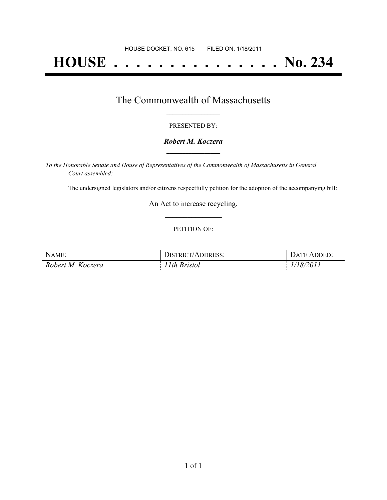# **HOUSE . . . . . . . . . . . . . . . No. 234**

## The Commonwealth of Massachusetts **\_\_\_\_\_\_\_\_\_\_\_\_\_\_\_\_\_**

#### PRESENTED BY:

#### *Robert M. Koczera* **\_\_\_\_\_\_\_\_\_\_\_\_\_\_\_\_\_**

*To the Honorable Senate and House of Representatives of the Commonwealth of Massachusetts in General Court assembled:*

The undersigned legislators and/or citizens respectfully petition for the adoption of the accompanying bill:

An Act to increase recycling. **\_\_\_\_\_\_\_\_\_\_\_\_\_\_\_**

#### PETITION OF:

| NAME:             | DISTRICT/ADDRESS: | DATE ADDED: |
|-------------------|-------------------|-------------|
| Robert M. Koczera | 11th Bristol      | . 1/18/2011 |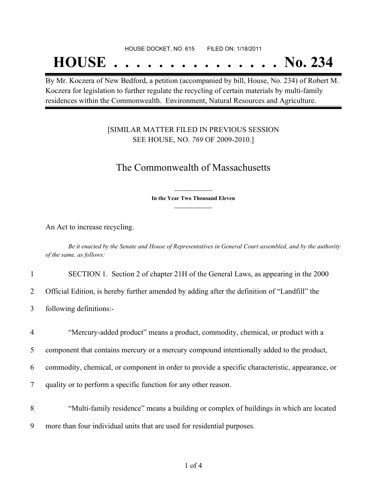#### HOUSE DOCKET, NO. 615 FILED ON: 1/18/2011

## **HOUSE . . . . . . . . . . . . . . . No. 234**

By Mr. Koczera of New Bedford, a petition (accompanied by bill, House, No. 234) of Robert M. Koczera for legislation to further regulate the recycling of certain materials by multi-family residences within the Commonwealth. Environment, Natural Resources and Agriculture.

### [SIMILAR MATTER FILED IN PREVIOUS SESSION SEE HOUSE, NO. *769* OF 2009-2010.]

## The Commonwealth of Massachusetts

**\_\_\_\_\_\_\_\_\_\_\_\_\_\_\_ In the Year Two Thousand Eleven \_\_\_\_\_\_\_\_\_\_\_\_\_\_\_**

An Act to increase recycling.

Be it enacted by the Senate and House of Representatives in General Court assembled, and by the authority *of the same, as follows:*

1 SECTION 1. Section 2 of chapter 21H of the General Laws, as appearing in the 2000

2 Official Edition, is hereby further amended by adding after the definition of "Landfill" the

- 3 following definitions:-
- 4 "Mercury-added product" means a product, commodity, chemical, or product with a

5 component that contains mercury or a mercury compound intentionally added to the product,

- 6 commodity, chemical, or component in order to provide a specific characteristic, appearance, or
- 7 quality or to perform a specific function for any other reason.
- 8 "Multi-family residence" means a building or complex of buildings in which are located 9 more than four individual units that are used for residential purposes.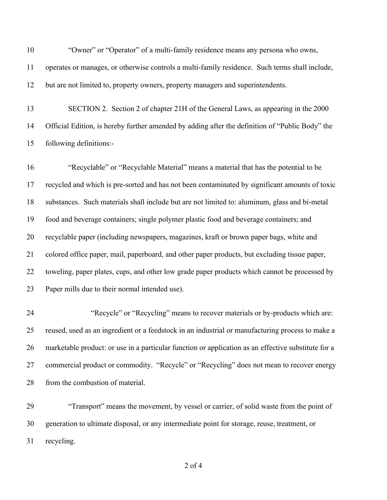"Owner" or "Operator" of a multi-family residence means any persona who owns, operates or manages, or otherwise controls a multi-family residence. Such terms shall include,

but are not limited to, property owners, property managers and superintendents.

 SECTION 2. Section 2 of chapter 21H of the General Laws, as appearing in the 2000 Official Edition, is hereby further amended by adding after the definition of "Public Body" the following definitions:-

 "Recyclable" or "Recyclable Material" means a material that has the potential to be recycled and which is pre-sorted and has not been contaminated by significant amounts of toxic substances. Such materials shall include but are not limited to: aluminum, glass and bi-metal food and beverage containers; single polymer plastic food and beverage containers; and recyclable paper (including newspapers, magazines, kraft or brown paper bags, white and colored office paper, mail, paperboard, and other paper products, but excluding tissue paper, toweling, paper plates, cups, and other low grade paper products which cannot be processed by Paper mills due to their normal intended use).

 "Recycle" or "Recycling" means to recover materials or by-products which are: reused, used as an ingredient or a feedstock in an industrial or manufacturing process to make a marketable product: or use in a particular function or application as an effective substitute for a commercial product or commodity. "Recycle" or "Recycling" does not mean to recover energy from the combustion of material.

 "Transport" means the movement, by vessel or carrier, of solid waste from the point of generation to ultimate disposal, or any intermediate point for storage, reuse, treatment, or recycling.

of 4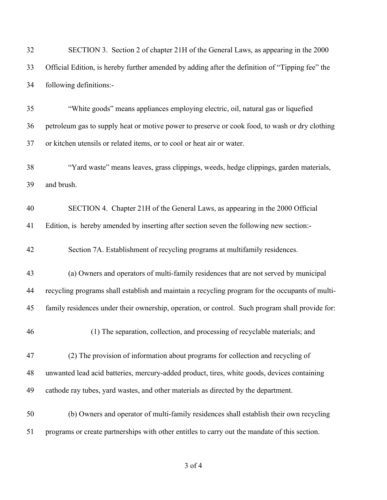| 32 | SECTION 3. Section 2 of chapter 21H of the General Laws, as appearing in the 2000               |
|----|-------------------------------------------------------------------------------------------------|
| 33 | Official Edition, is hereby further amended by adding after the definition of "Tipping fee" the |
| 34 | following definitions:-                                                                         |
| 35 | "White goods" means appliances employing electric, oil, natural gas or liquefied                |
| 36 | petroleum gas to supply heat or motive power to preserve or cook food, to wash or dry clothing  |
| 37 | or kitchen utensils or related items, or to cool or heat air or water.                          |
| 38 | "Yard waste" means leaves, grass clippings, weeds, hedge clippings, garden materials,           |
| 39 | and brush.                                                                                      |
| 40 | SECTION 4. Chapter 21H of the General Laws, as appearing in the 2000 Official                   |
| 41 | Edition, is hereby amended by inserting after section seven the following new section:-         |
| 42 | Section 7A. Establishment of recycling programs at multifamily residences.                      |
| 43 | (a) Owners and operators of multi-family residences that are not served by municipal            |
| 44 | recycling programs shall establish and maintain a recycling program for the occupants of multi- |
| 45 | family residences under their ownership, operation, or control. Such program shall provide for: |
| 46 | (1) The separation, collection, and processing of recyclable materials; and                     |
| 47 | (2) The provision of information about programs for collection and recycling of                 |
| 48 | unwanted lead acid batteries, mercury-added product, tires, white goods, devices containing     |
| 49 | cathode ray tubes, yard wastes, and other materials as directed by the department.              |
| 50 | (b) Owners and operator of multi-family residences shall establish their own recycling          |
| 51 | programs or create partnerships with other entitles to carry out the mandate of this section.   |

of 4